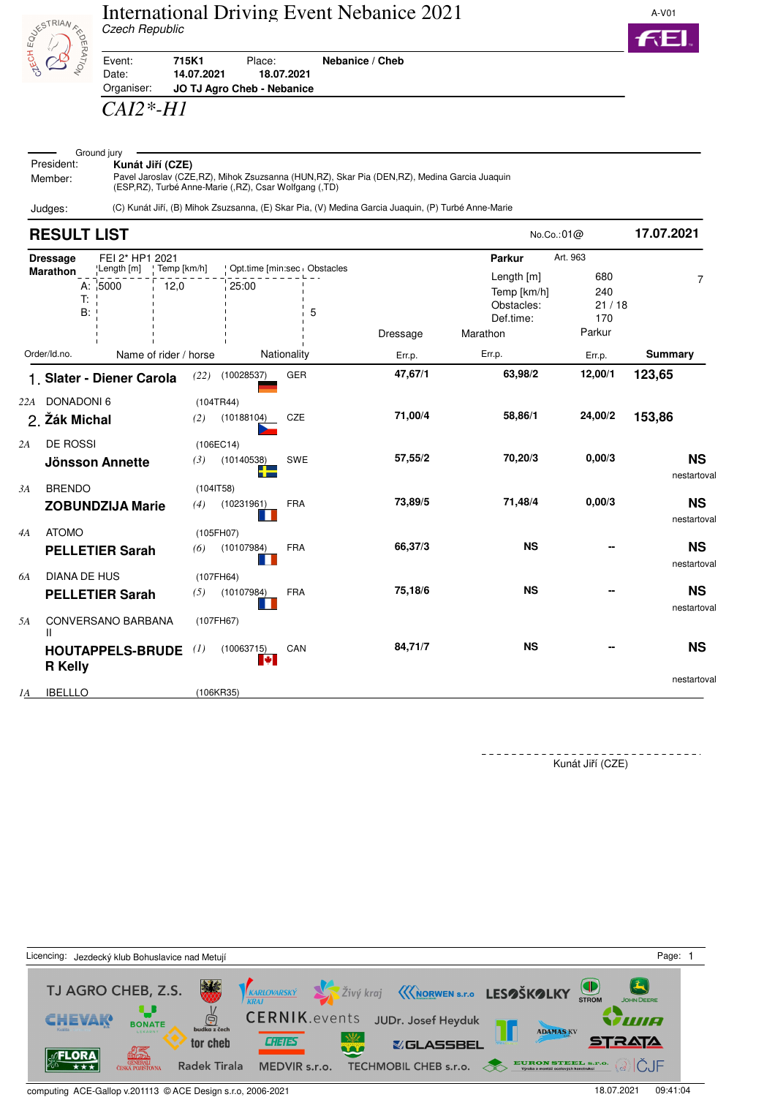



Event: **715K1** Place: **Nebanice / Cheb** Date: **14.07.2021 18.07.2021**

Organiser: **JO TJ Agro Cheb - Nebanice**

## *CAI2\*-H1*

| Ground jury |                                   |  |  |  |  |  |
|-------------|-----------------------------------|--|--|--|--|--|
| President:  | Kunát Jiří (CZE)                  |  |  |  |  |  |
| Member:     | Pavel Jaroslav (CZE, RZ), Mihok Z |  |  |  |  |  |

Suzsanna (HUN,RZ), Skar Pia (DEN,RZ), Medina Garcia Juaquin (ESP,RZ), Turbé Anne-Marie (,RZ), Csar Wolfgang (,TD)

Judges: (C) Kunát Jiří, (B) Mihok Zsuzsanna, (E) Skar Pia, (V) Medina Garcia Juaquin, (P) Turbé Anne-Marie

|    | <b>RESULT LIST</b>              |                           |                       |                         |                                  |          | No.Co.:01@                                                       | 17.07.2021                           |                          |
|----|---------------------------------|---------------------------|-----------------------|-------------------------|----------------------------------|----------|------------------------------------------------------------------|--------------------------------------|--------------------------|
|    | <b>Dressage</b>                 | FEI 2* HP1 2021           |                       |                         |                                  |          | Parkur                                                           | Art. 963                             |                          |
|    | <b>Marathon</b><br>T:<br>B:     | 'Length [m]<br>A: $ 5000$ | Temp [km/h]<br>12,0   | 25:00                   | Opt.time [min:sec Obstacles<br>5 | Dressage | Length [m]<br>Temp [km/h]<br>Obstacles:<br>Def.time:<br>Marathon | 680<br>240<br>21/18<br>170<br>Parkur | $\overline{7}$           |
|    | Order/Id.no.                    |                           | Name of rider / horse |                         | Nationality                      | Err.p.   | Err.p.                                                           | Err.p.                               | <b>Summary</b>           |
|    |                                 | 1. Slater - Diener Carola | (22)                  | (10028537)              | GER                              | 47,67/1  | 63,98/2                                                          | 12,00/1                              | 123,65                   |
|    | 22A DONADONI 6<br>2. Žák Michal |                           | (2)                   | (104TR44)<br>(10188104) | CZE                              | 71,00/4  | 58,86/1                                                          | 24,00/2                              | 153,86                   |
| 2A | <b>DE ROSSI</b>                 | Jönsson Annette           | (3)                   | (106EC14)<br>(10140538) | SWE                              | 57,55/2  | 70,20/3                                                          | 0,00/3                               | <b>NS</b><br>nestartoval |
| 3A | <b>BRENDO</b>                   | <b>ZOBUNDZIJA Marie</b>   | (4)                   | (1041T58)<br>(10231961) | <b>FRA</b>                       | 73,89/5  | 71,48/4                                                          | 0,00/3                               | <b>NS</b><br>nestartoval |
| 4A | <b>ATOMO</b>                    | <b>PELLETIER Sarah</b>    | (6)                   | (105FH07)<br>(10107984) | <b>FRA</b>                       | 66,37/3  | <b>NS</b>                                                        |                                      | <b>NS</b><br>nestartoval |
| 6A | <b>DIANA DE HUS</b>             | <b>PELLETIER Sarah</b>    | (5)                   | (107FH64)<br>(10107984) | <b>FRA</b>                       | 75,18/6  | <b>NS</b>                                                        |                                      | <b>NS</b><br>nestartoval |
| 5A | Ш                               | CONVERSANO BARBANA        |                       | (107FH67)               |                                  |          |                                                                  |                                      |                          |
|    | <b>R</b> Kelly                  | <b>HOUTAPPELS-BRUDE</b>   | (1)                   | (10063715)<br>ю         | CAN                              | 84,71/7  | <b>NS</b>                                                        |                                      | <b>NS</b>                |
| 1A | <b>IBELLLO</b>                  |                           |                       | (106KR35)               |                                  |          |                                                                  |                                      | nestartoval              |

Kunát Jiří (CZE)



computing ACE-Gallop v.201113 © ACE Design s.r.o, 2006-2021 18.07.2021 18.07.2021 18.07.2021 09:41:04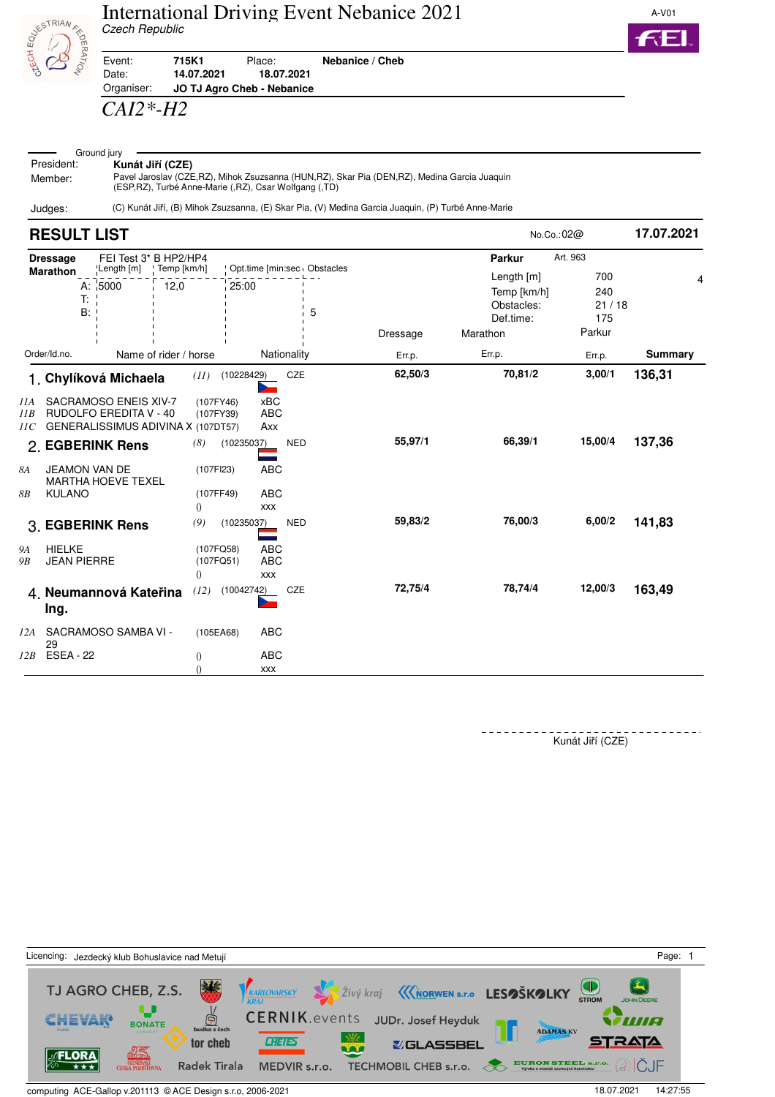



Event: **715K1** Place: **Nebanice / Cheb**

Date: **14.07.2021 18.07.2021** Organiser: **JO TJ Agro Cheb - Nebanice**

## *CAI2\*-H2*

| $ -$       | Ground jury                                                                                    |
|------------|------------------------------------------------------------------------------------------------|
| President: | Kunát Jiří (CZE)                                                                               |
| Member:    | Pavel Jaroslav (CZE, RZ), Mihok Zsuzsanna (HUN, RZ), Skar Pia (DEN, RZ), Medina Garcia Juaquin |
|            | (ESP, RZ), Turbé Anne-Marie (, RZ), Csar Wolfgang (, TD)                                       |

Judges: (C) Kunát Jiří, (B) Mihok Zsuzsanna, (E) Skar Pia, (V) Medina Garcia Juaquin, (P) Turbé Anne-Marie

|                               | <b>RESULT LIST</b>                             |                                                                                                                                                                        |                       |                                                                 |                                                                                                       |                   |                    |                                                                                   | No.Co.: $02@$                                    | 17.07.2021       |
|-------------------------------|------------------------------------------------|------------------------------------------------------------------------------------------------------------------------------------------------------------------------|-----------------------|-----------------------------------------------------------------|-------------------------------------------------------------------------------------------------------|-------------------|--------------------|-----------------------------------------------------------------------------------|--------------------------------------------------|------------------|
|                               | <b>Dressage</b><br><b>Marathon</b><br>T:<br>B: | FEI Test 3* B HP2/HP4<br>Length [m]<br>A: 5000                                                                                                                         | : Temp [km/h]<br>12,0 |                                                                 | Opt.time [min:sec   Obstacles<br>25:00                                                                | 5                 | Dressage           | <b>Parkur</b><br>Length [m]<br>Temp [km/h]<br>Obstacles:<br>Def.time:<br>Marathon | Art. 963<br>700<br>240<br>21/18<br>175<br>Parkur | 4                |
|                               | Order/Id.no.                                   |                                                                                                                                                                        | Name of rider / horse |                                                                 |                                                                                                       | Nationality       | Err.p.             | Err.p.                                                                            | Err.p.                                           | Summary          |
| IIA<br>IIB<br>11C<br>8A<br>8B | <b>JEAMON VAN DE</b><br><b>KULANO</b>          | 1. Chylíková Michaela<br><b>SACRAMOSO ENEIS XIV-7</b><br>RUDOLFO EREDITA V - 40<br>GENERALISSIMUS ADIVINA X (107DT57)<br>2. EGBERINK Rens<br><b>MARTHA HOEVE TEXEL</b> |                       | (11)<br>(107FY46)<br>(107FY39)<br>(8)<br>(107FI23)<br>(107FF49) | (10228429)<br><b>xBC</b><br><b>ABC</b><br>Axx<br>(10235037)<br><b>ABC</b><br><b>ABC</b><br><b>XXX</b> | CZE<br><b>NED</b> | 62,50/3<br>55,97/1 | 70,81/2<br>66,39/1                                                                | 3,00/1<br>15,00/4                                | 136,31<br>137,36 |
|                               |                                                | 3. EGBERINK Rens                                                                                                                                                       |                       | $\left( \right)$<br>(9)                                         | (10235037)                                                                                            | <b>NED</b>        | 59,83/2            | 76,00/3                                                                           | 6,00/2                                           | 141,83           |
| <b>9A</b><br><b>9B</b>        | <b>HIELKE</b><br><b>JEAN PIERRE</b>            |                                                                                                                                                                        |                       | (107FQ58)<br>(107FQ51)<br>$\left( \right)$                      | <b>ABC</b><br><b>ABC</b><br><b>XXX</b>                                                                |                   |                    |                                                                                   |                                                  |                  |
|                               | Ing.                                           | 4 Neumannová Kateřina                                                                                                                                                  |                       | (12)                                                            | (10042742)                                                                                            | CZE               | 72,75/4            | 78,74/4                                                                           | 12,00/3                                          | 163,49           |
| 12A                           | 29                                             | SACRAMOSO SAMBA VI -                                                                                                                                                   |                       | (105EA68)                                                       | <b>ABC</b>                                                                                            |                   |                    |                                                                                   |                                                  |                  |
| 12B                           | <b>ESEA - 22</b>                               |                                                                                                                                                                        |                       | $\left( \right)$                                                | <b>ABC</b><br><b>XXX</b>                                                                              |                   |                    |                                                                                   |                                                  |                  |

Kunát Jiří (CZE)



computing ACE-Gallop v.201113 © ACE Design s.r.o, 2006-2021 18.07.2021 18.07.2021 14:27:55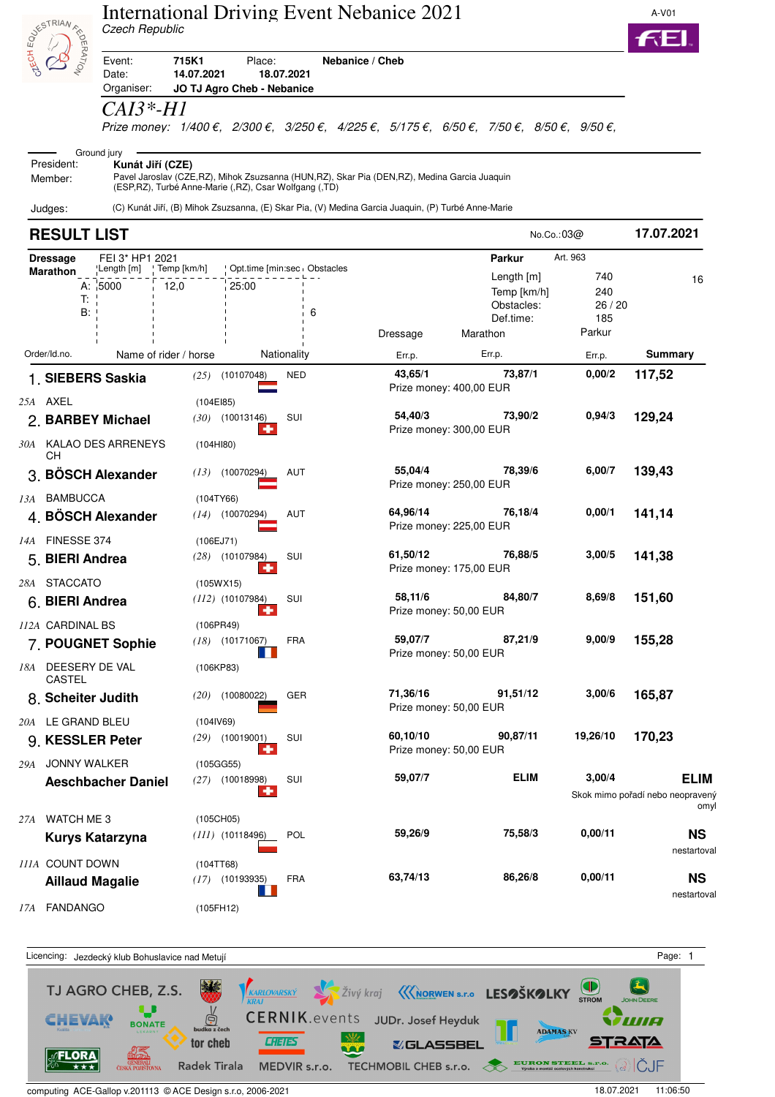|                                                     | Czech Republic                  | <b>International Driving Event Nebanice 2021</b>                                                                                                        |                                    |                                     |                                                                                                                                                                                   |                                      | A-V01                                                   |
|-----------------------------------------------------|---------------------------------|---------------------------------------------------------------------------------------------------------------------------------------------------------|------------------------------------|-------------------------------------|-----------------------------------------------------------------------------------------------------------------------------------------------------------------------------------|--------------------------------------|---------------------------------------------------------|
| <b>SESTRIAN FROM</b>                                | Event:<br>Date:<br>Organiser:   | 715K1<br>Place:<br>14.07.2021<br>JO TJ Agro Cheb - Nebanice                                                                                             | 18.07.2021                         | Nebanice / Cheb                     |                                                                                                                                                                                   |                                      |                                                         |
|                                                     | <i>CAI3*-H1</i>                 |                                                                                                                                                         |                                    |                                     | Prize money: $1/400 \epsilon$ , $2/300 \epsilon$ , $3/250 \epsilon$ , $4/225 \epsilon$ , $5/175 \epsilon$ , $6/50 \epsilon$ , $7/50 \epsilon$ , $8/50 \epsilon$ , $9/50 \epsilon$ |                                      |                                                         |
| President:<br>Member:                               | Ground jury<br>Kunát Jiří (CZE) | Pavel Jaroslav (CZE,RZ), Mihok Zsuzsanna (HUN,RZ), Skar Pia (DEN,RZ), Medina Garcia Juaquin<br>(ESP, RZ), Turbé Anne-Marie (, RZ), Csar Wolfgang (, TD) |                                    |                                     |                                                                                                                                                                                   |                                      |                                                         |
| Judges:                                             |                                 | (C) Kunát Jiří, (B) Mihok Zsuzsanna, (E) Skar Pia, (V) Medina Garcia Juaquin, (P) Turbé Anne-Marie                                                      |                                    |                                     |                                                                                                                                                                                   |                                      |                                                         |
| <b>RESULT LIST</b>                                  |                                 |                                                                                                                                                         |                                    |                                     | No.Co.:03@                                                                                                                                                                        |                                      | 17.07.2021                                              |
| <b>Dressage</b>                                     | FEI 3* HP1 2021                 |                                                                                                                                                         |                                    |                                     | <b>Parkur</b>                                                                                                                                                                     | Art. 963                             |                                                         |
| Marathon<br>T:<br>B:                                | ˈLength [m]<br>A: 5000          | Temp [km/h]<br>12,0<br>25:00                                                                                                                            | Opt.time [min:sec   Obstacles<br>6 | Dressage                            | Length $[m]$<br>Temp [km/h]<br>Obstacles:<br>Def.time:<br>Marathon                                                                                                                | 740<br>240<br>26/20<br>185<br>Parkur | 16                                                      |
| Order/Id.no.                                        | Name of rider / horse           |                                                                                                                                                         | Nationality                        | Err.p.                              | Err.p.                                                                                                                                                                            | Err.p.                               | <b>Summary</b>                                          |
| 1. SIEBERS Saskia                                   |                                 | (25)<br>(10107048)                                                                                                                                      | <b>NED</b>                         | 43,65/1<br>Prize money: 400,00 EUR  | 73,87/1                                                                                                                                                                           | 0,00/2                               | 117,52                                                  |
| 25A AXEL<br>2. BARBEY Michael                       | 30A KALAO DES ARRENEYS          | (104E185)<br>$(30)$ $(10013146)$<br>(104H180)                                                                                                           | SUI                                | 54,40/3<br>Prize money: 300,00 EUR  | 73,90/2                                                                                                                                                                           | 0,94/3                               | 129,24                                                  |
| CН<br>3. BÖSCH Alexander                            |                                 | (13)<br>(10070294)                                                                                                                                      | AUT                                | 55,04/4<br>Prize money: 250,00 EUR  | 78,39/6                                                                                                                                                                           | 6,00/7                               | 139,43                                                  |
| 13A BAMBUCCA<br>4. BÖSCH Alexander                  |                                 | (104TY66)<br>(14)<br>(10070294)                                                                                                                         | AUT                                | 64,96/14<br>Prize money: 225,00 EUR | 76,18/4                                                                                                                                                                           | 0,00/1                               | 141,14                                                  |
| 14A FINESSE 374<br>5. BIERI Andrea                  |                                 | (106EJ71)<br><i>(28)</i> (10107984)                                                                                                                     | SUI                                | 61,50/12<br>Prize money: 175,00 EUR | 76,88/5                                                                                                                                                                           | 3,00/5                               | 141,38                                                  |
| 28A STACCATO<br>6. BIERI Andrea<br>112A CARDINAL BS |                                 | (105WX15)<br>$(112)$ (10107984)                                                                                                                         | SUI                                | 58,11/6<br>Prize money: 50,00 EUR   | 84,80/7                                                                                                                                                                           | 8,69/8                               | 151,60                                                  |
| 7. POUGNET Sophie<br>18A DEESERY DE VAL             |                                 | (106PR49)<br>$(18)$ $(10171067)$<br>(106KP83)                                                                                                           | <b>FRA</b>                         | 59,07/7<br>Prize money: 50,00 EUR   | 87,21/9                                                                                                                                                                           | 9,00/9                               | 155,28                                                  |
| CASTEL<br>8. Scheiter Judith                        |                                 | (10080022)<br>(20)                                                                                                                                      | GER                                | 71,36/16<br>Prize money: 50,00 EUR  | 91,51/12                                                                                                                                                                          | 3,00/6                               | 165,87                                                  |
| 20A LE GRAND BLEU<br>9. KESSLER Peter               |                                 | (104IV69)<br>$(29)$ $(10019001)$                                                                                                                        | SUI                                | 60,10/10<br>Prize money: 50,00 EUR  | 90,87/11                                                                                                                                                                          | 19,26/10                             | 170,23                                                  |
| JONNY WALKER<br>29A                                 | <b>Aeschbacher Daniel</b>       | (105GG55)<br>$(27)$ (10018998)                                                                                                                          | SUI<br>÷                           | 59,07/7                             | <b>ELIM</b>                                                                                                                                                                       | 3,00/4                               | <b>ELIM</b><br>Skok mimo pořadí nebo neopravený<br>omyl |
| 27A WATCH ME3                                       | Kurys Katarzyna                 | (105CH05)<br>$(111)$ $(10118496)$                                                                                                                       | <b>POL</b>                         | 59,26/9                             | 75,58/3                                                                                                                                                                           | 0,00/11                              | <b>NS</b><br>nestartoval                                |
| 111A COUNT DOWN<br><b>Aillaud Magalie</b>           |                                 | (104TT68)<br>$(17)$ $(10193935)$                                                                                                                        | <b>FRA</b>                         | 63,74/13                            | 86,26/8                                                                                                                                                                           | 0,00/11                              | <b>NS</b><br>notortovol                                 |



computing ACE-Gallop v.201113 © ACE Design s.r.o, 2006-2021 18.07.2021 11:06:50

*17A* FANDANGO (105FH12)

nestartoval